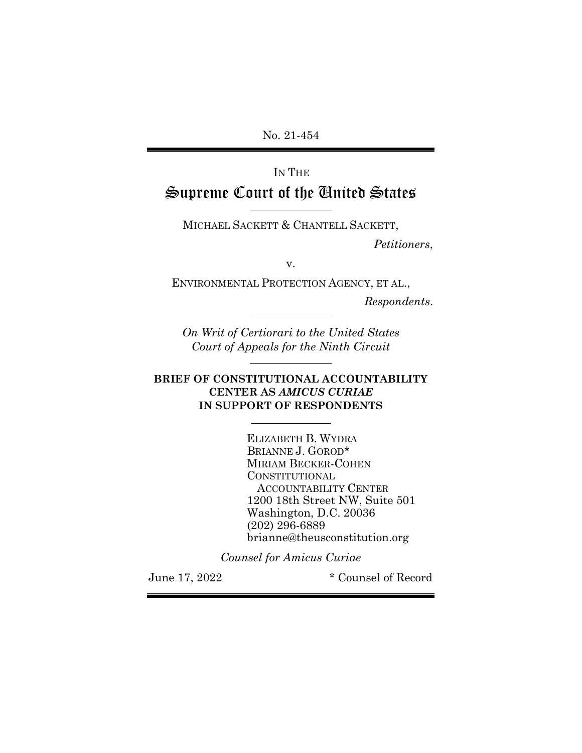No. 21-454

## IN THE Supreme Court of the United States

MICHAEL SACKETT & CHANTELL SACKETT,

l

l

l

l

*Petitioners*,

v.

ENVIRONMENTAL PROTECTION AGENCY, ET AL.,

*Respondents*.

*On Writ of Certiorari to the United States Court of Appeals for the Ninth Circuit*

#### **BRIEF OF CONSTITUTIONAL ACCOUNTABILITY CENTER AS** *AMICUS CURIAE*  **IN SUPPORT OF RESPONDENTS**

ELIZABETH B. WYDRA BRIANNE J. GOROD\* MIRIAM BECKER-COHEN CONSTITUTIONAL ACCOUNTABILITY CENTER 1200 18th Street NW, Suite 501 Washington, D.C. 20036 (202) 296-6889 brianne@theusconstitution.org

*Counsel for Amicus Curiae*

June 17, 2022 \* Counsel of Record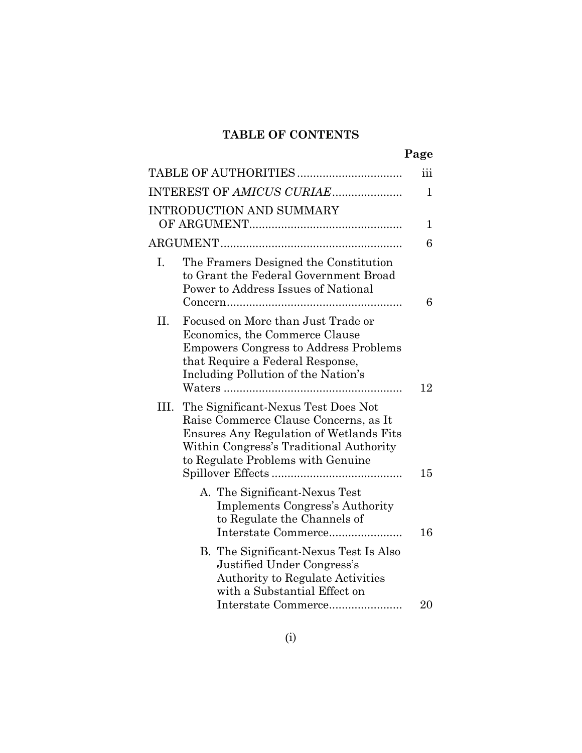## **TABLE OF CONTENTS**

|                |                                                                                                                                                                                                                | iii          |
|----------------|----------------------------------------------------------------------------------------------------------------------------------------------------------------------------------------------------------------|--------------|
|                | INTEREST OF AMICUS CURIAE                                                                                                                                                                                      | $\mathbf{1}$ |
|                | <b>INTRODUCTION AND SUMMARY</b>                                                                                                                                                                                | 1            |
|                |                                                                                                                                                                                                                | 6            |
| $\mathbf{I}$ . | The Framers Designed the Constitution<br>to Grant the Federal Government Broad<br>Power to Address Issues of National                                                                                          | 6            |
| II.            | Focused on More than Just Trade or<br>Economics, the Commerce Clause<br><b>Empowers Congress to Address Problems</b><br>that Require a Federal Response,<br>Including Pollution of the Nation's                | 12           |
| III.           | The Significant-Nexus Test Does Not<br>Raise Commerce Clause Concerns, as It<br><b>Ensures Any Regulation of Wetlands Fits</b><br>Within Congress's Traditional Authority<br>to Regulate Problems with Genuine | 15           |
|                | A. The Significant-Nexus Test<br><b>Implements Congress's Authority</b><br>to Regulate the Channels of<br>Interstate Commerce                                                                                  | 16           |
|                | B. The Significant-Nexus Test Is Also<br>Justified Under Congress's<br><b>Authority to Regulate Activities</b><br>with a Substantial Effect on                                                                 |              |
|                | Interstate Commerce                                                                                                                                                                                            | 20           |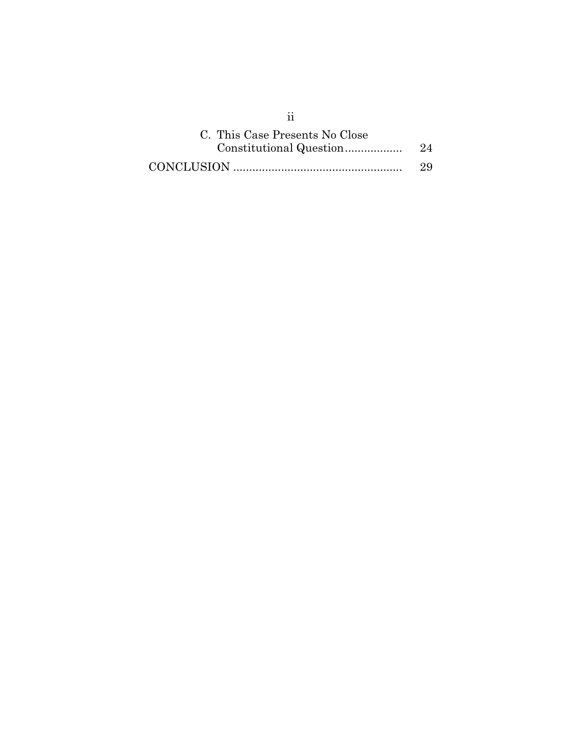| C. This Case Presents No Close |    |
|--------------------------------|----|
|                                |    |
|                                | 29 |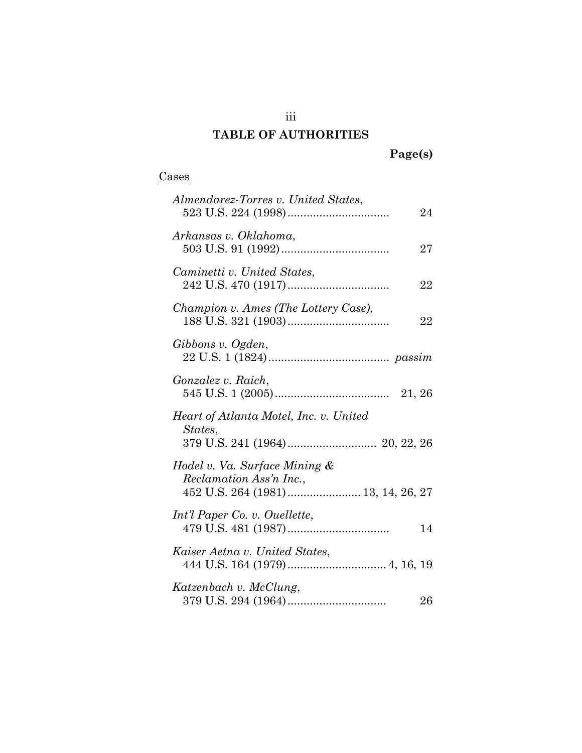## **TABLE OF AUTHORITIES**

## **Page(s)**

## Cases

| Almendarez-Torres v. United States,<br>24                                                      |
|------------------------------------------------------------------------------------------------|
| Arkansas v. Oklahoma,<br>27                                                                    |
| Caminetti v. United States,<br>22                                                              |
| Champion v. Ames (The Lottery Case),<br>22                                                     |
| Gibbons v. Ogden,                                                                              |
| Gonzalez v. Raich,                                                                             |
| Heart of Atlanta Motel, Inc. v. United<br>States,                                              |
| Hodel v. Va. Surface Mining &<br>Reclamation Ass'n Inc.,<br>452 U.S. 264 (1981) 13, 14, 26, 27 |
| Int'l Paper Co. v. Ouellette,<br>14                                                            |
| Kaiser Aetna v. United States,                                                                 |
| Katzenbach v. McClung,<br>26                                                                   |

iii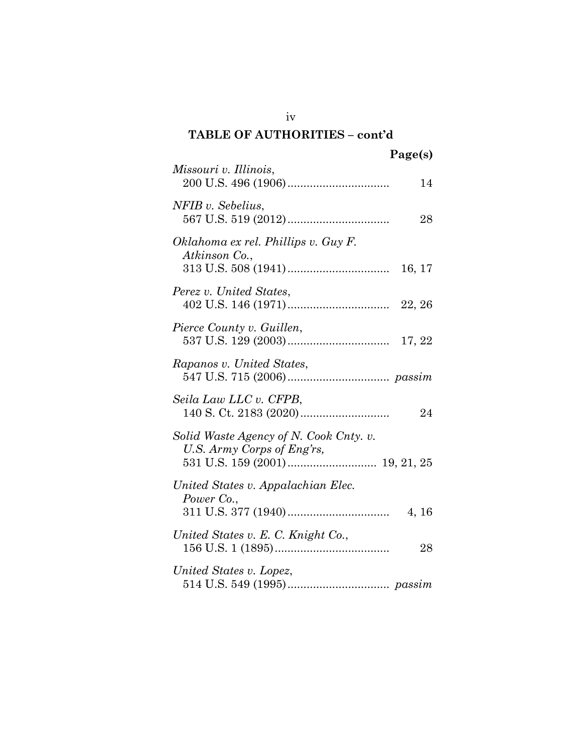| Page(s)                                                              |
|----------------------------------------------------------------------|
| Missouri v. Illinois,<br>14                                          |
| NFIB v. Sebelius,<br>28                                              |
| Oklahoma ex rel. Phillips v. Guy F.                                  |
| Atkinson Co.,<br>16, 17                                              |
| Perez v. United States,                                              |
| Pierce County v. Guillen,                                            |
| Rapanos v. United States,                                            |
| Seila Law LLC v. CFPB,<br>24                                         |
| Solid Waste Agency of N. Cook Cnty. v.<br>U.S. Army Corps of Eng'rs, |
| United States v. Appalachian Elec.<br>Power Co.,<br>4, 16            |
| United States v. E. C. Knight Co.,<br>28                             |
| United States v. Lopez,                                              |

iv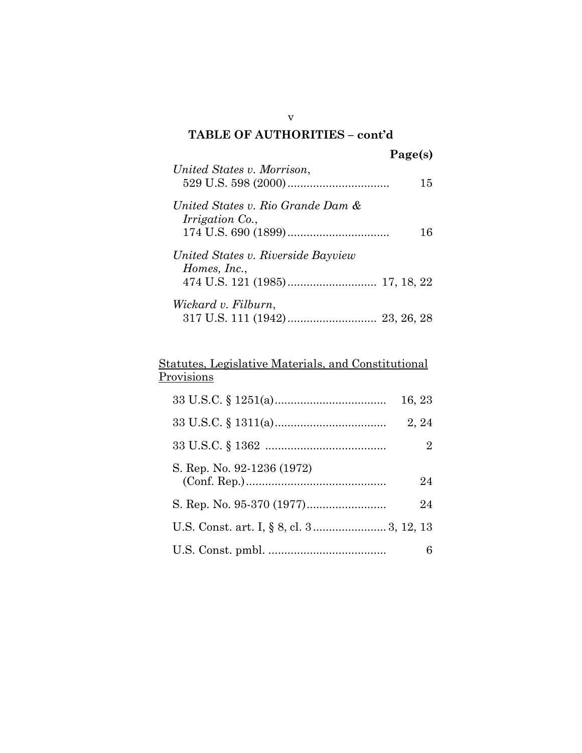|                                                      | Page(s) |    |
|------------------------------------------------------|---------|----|
| United States v. Morrison,                           |         | 15 |
| United States v. Rio Grande Dam &<br>Irrigation Co., |         | 16 |
| United States v. Riverside Bayview<br>Homes, Inc.,   |         |    |
| Wickard v. Filburn,                                  |         |    |

#### Statutes, Legislative Materials, and Constitutional **Provisions**

|                            | 16, 23 |
|----------------------------|--------|
|                            | 2, 24  |
|                            | 2      |
| S. Rep. No. 92-1236 (1972) | 24     |
|                            | 24     |
|                            |        |
|                            |        |

v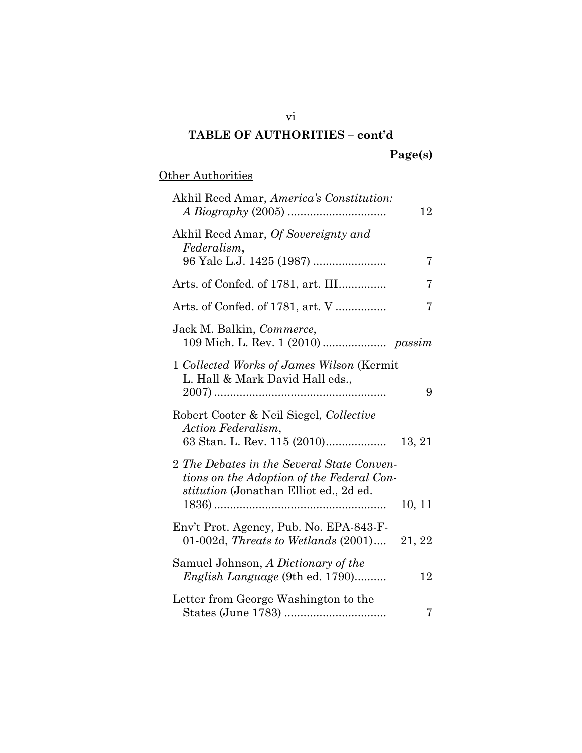## **Page(s)**

## **Other Authorities**

| Akhil Reed Amar, America's Constitution:<br>12                                                                                                     |
|----------------------------------------------------------------------------------------------------------------------------------------------------|
| Akhil Reed Amar, Of Sovereignty and<br>Federalism,<br>96 Yale L.J. 1425 (1987)<br>7                                                                |
| Arts. of Confed. of 1781, art. III<br>7                                                                                                            |
| Arts. of Confed. of 1781, art. V<br>7                                                                                                              |
| Jack M. Balkin, Commerce,                                                                                                                          |
| 1 Collected Works of James Wilson (Kermit<br>L. Hall & Mark David Hall eds.,<br>9                                                                  |
| Robert Cooter & Neil Siegel, Collective<br>Action Federalism,                                                                                      |
| 2 The Debates in the Several State Conven-<br>tions on the Adoption of the Federal Con-<br><i>stitution</i> (Jonathan Elliot ed., 2d ed.<br>10, 11 |
| Env't Prot. Agency, Pub. No. EPA-843-F-<br>01-002d, Threats to Wetlands (2001) 21, 22                                                              |
| Samuel Johnson, A Dictionary of the<br><i>English Language</i> (9th ed. 1790)<br>12                                                                |
| Letter from George Washington to the<br>7                                                                                                          |

vi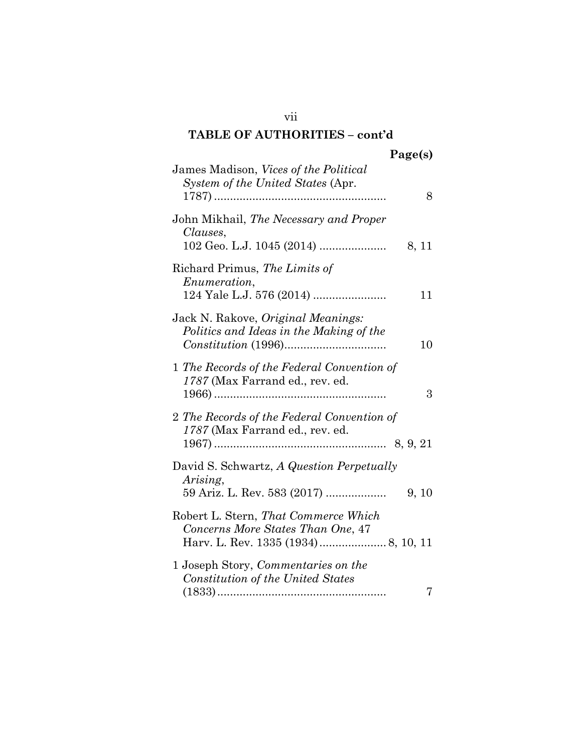|                                                                                      | Page(s) |
|--------------------------------------------------------------------------------------|---------|
| James Madison, Vices of the Political<br>System of the United States (Apr.           | 8       |
| John Mikhail, The Necessary and Proper<br>Clauses,                                   | 8, 11   |
| Richard Primus, The Limits of<br><i>Enumeration,</i>                                 | 11      |
| Jack N. Rakove, Original Meanings:<br>Politics and Ideas in the Making of the        | 10      |
| 1 The Records of the Federal Convention of<br>1787 (Max Farrand ed., rev. ed.        | 3       |
| 2 The Records of the Federal Convention of<br>1787 (Max Farrand ed., rev. ed.        |         |
| David S. Schwartz, A Question Perpetually<br>Arising,<br>59 Ariz. L. Rev. 583 (2017) | 9, 10   |
| Robert L. Stern, That Commerce Which<br>Concerns More States Than One, 47            |         |
| 1 Joseph Story, Commentaries on the<br>Constitution of the United States             | 7       |

vii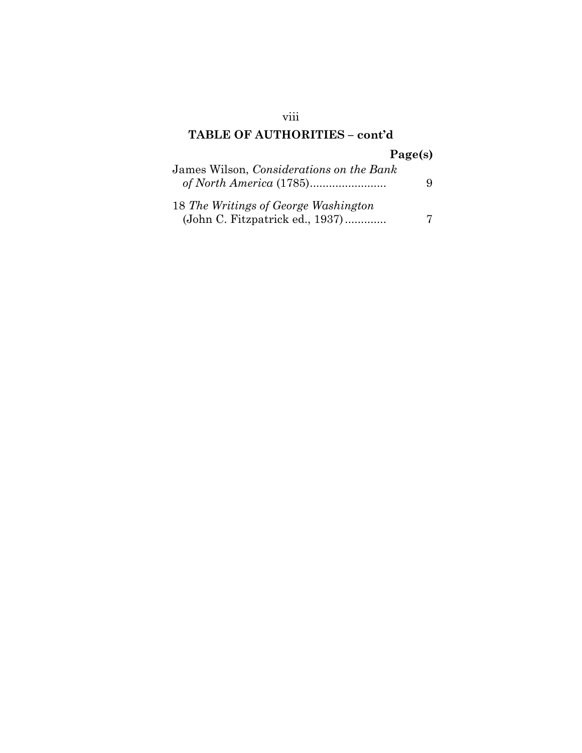## **Page(s)**

| James Wilson, <i>Considerations</i> on the Bank                         | 9 |
|-------------------------------------------------------------------------|---|
| 18 The Writings of George Washington<br>(John C. Fitzpatrick ed., 1937) |   |

viii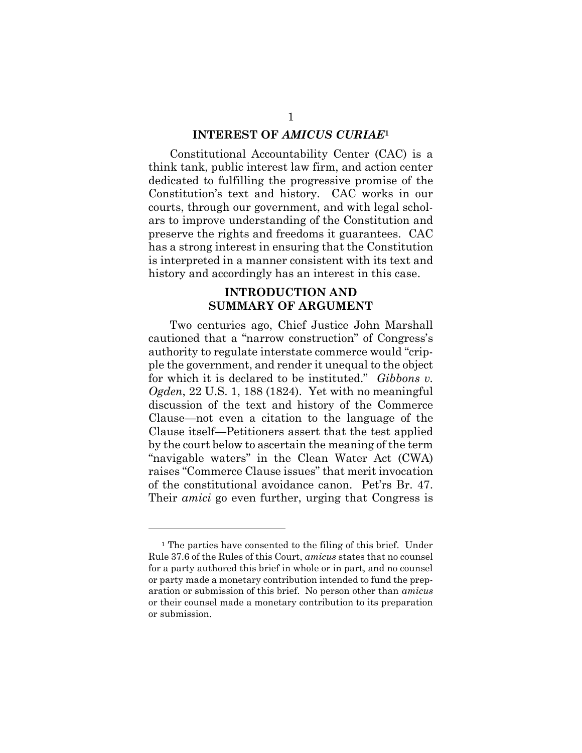#### **INTEREST OF** *AMICUS CURIAE***<sup>1</sup>**

Constitutional Accountability Center (CAC) is a think tank, public interest law firm, and action center dedicated to fulfilling the progressive promise of the Constitution's text and history. CAC works in our courts, through our government, and with legal scholars to improve understanding of the Constitution and preserve the rights and freedoms it guarantees. CAC has a strong interest in ensuring that the Constitution is interpreted in a manner consistent with its text and history and accordingly has an interest in this case.

### **INTRODUCTION AND SUMMARY OF ARGUMENT**

Two centuries ago, Chief Justice John Marshall cautioned that a "narrow construction" of Congress's authority to regulate interstate commerce would "cripple the government, and render it unequal to the object for which it is declared to be instituted." *Gibbons v. Ogden*, 22 U.S. 1, 188 (1824). Yet with no meaningful discussion of the text and history of the Commerce Clause—not even a citation to the language of the Clause itself—Petitioners assert that the test applied by the court below to ascertain the meaning of the term "navigable waters" in the Clean Water Act (CWA) raises "Commerce Clause issues" that merit invocation of the constitutional avoidance canon. Pet'rs Br. 47. Their *amici* go even further, urging that Congress is

<sup>&</sup>lt;sup>1</sup> The parties have consented to the filing of this brief. Under Rule 37.6 of the Rules of this Court, *amicus* states that no counsel for a party authored this brief in whole or in part, and no counsel or party made a monetary contribution intended to fund the preparation or submission of this brief. No person other than *amicus* or their counsel made a monetary contribution to its preparation or submission.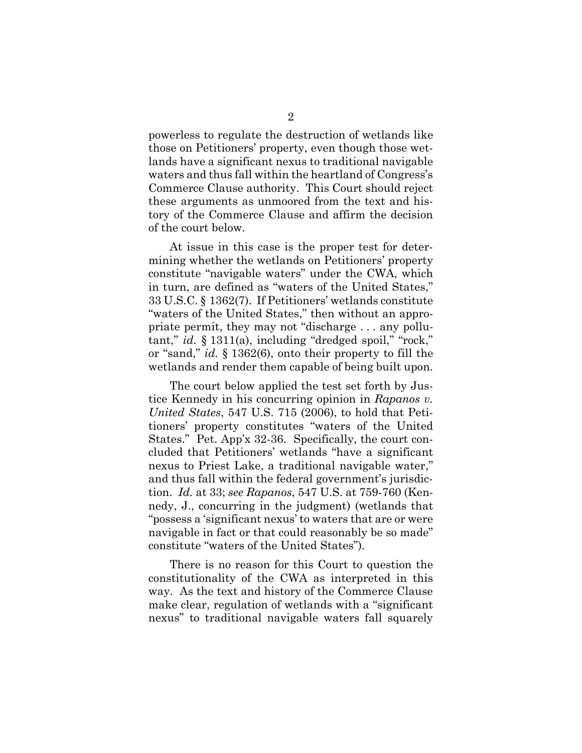powerless to regulate the destruction of wetlands like those on Petitioners' property, even though those wetlands have a significant nexus to traditional navigable waters and thus fall within the heartland of Congress's Commerce Clause authority. This Court should reject these arguments as unmoored from the text and history of the Commerce Clause and affirm the decision of the court below.

At issue in this case is the proper test for determining whether the wetlands on Petitioners' property constitute "navigable waters" under the CWA, which in turn, are defined as "waters of the United States," 33 U.S.C. § 1362(7). If Petitioners' wetlands constitute "waters of the United States," then without an appropriate permit, they may not "discharge . . . any pollutant," *id.* § 1311(a), including "dredged spoil," "rock," or "sand," *id.* § 1362(6), onto their property to fill the wetlands and render them capable of being built upon.

The court below applied the test set forth by Justice Kennedy in his concurring opinion in *Rapanos v. United States*, 547 U.S. 715 (2006), to hold that Petitioners' property constitutes "waters of the United States." Pet. App'x 32-36. Specifically, the court concluded that Petitioners' wetlands "have a significant nexus to Priest Lake, a traditional navigable water," and thus fall within the federal government's jurisdiction. *Id.* at 33; *see Rapanos*, 547 U.S. at 759-760 (Kennedy, J., concurring in the judgment) (wetlands that "possess a 'significant nexus' to waters that are or were navigable in fact or that could reasonably be so made" constitute "waters of the United States").

There is no reason for this Court to question the constitutionality of the CWA as interpreted in this way. As the text and history of the Commerce Clause make clear, regulation of wetlands with a "significant nexus" to traditional navigable waters fall squarely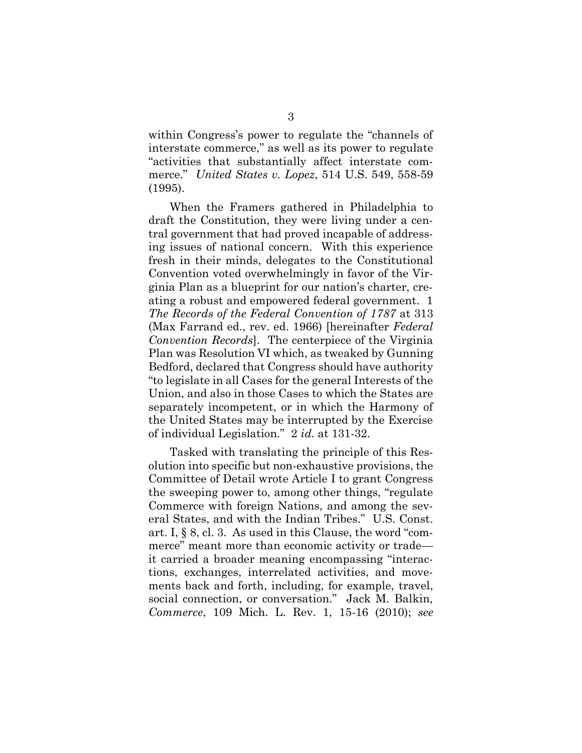within Congress's power to regulate the "channels of interstate commerce," as well as its power to regulate "activities that substantially affect interstate commerce." *United States v. Lopez*, 514 U.S. 549, 558-59 (1995).

When the Framers gathered in Philadelphia to draft the Constitution, they were living under a central government that had proved incapable of addressing issues of national concern. With this experience fresh in their minds, delegates to the Constitutional Convention voted overwhelmingly in favor of the Virginia Plan as a blueprint for our nation's charter, creating a robust and empowered federal government. 1 *The Records of the Federal Convention of 1787* at 313 (Max Farrand ed., rev. ed. 1966) [hereinafter *Federal Convention Records*]. The centerpiece of the Virginia Plan was Resolution VI which, as tweaked by Gunning Bedford, declared that Congress should have authority "to legislate in all Cases for the general Interests of the Union, and also in those Cases to which the States are separately incompetent, or in which the Harmony of the United States may be interrupted by the Exercise of individual Legislation." 2 *id.* at 131-32.

Tasked with translating the principle of this Resolution into specific but non-exhaustive provisions, the Committee of Detail wrote Article I to grant Congress the sweeping power to, among other things, "regulate Commerce with foreign Nations, and among the several States, and with the Indian Tribes." U.S. Const. art. I, § 8, cl. 3. As used in this Clause, the word "commerce" meant more than economic activity or trade it carried a broader meaning encompassing "interactions, exchanges, interrelated activities, and movements back and forth, including, for example, travel, social connection, or conversation." Jack M. Balkin, *Commerce*, 109 Mich. L. Rev. 1, 15-16 (2010); *see*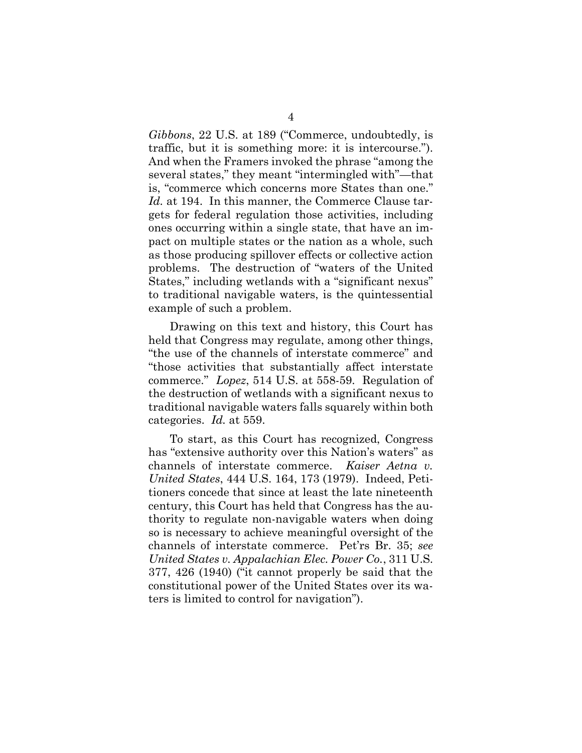*Gibbons*, 22 U.S. at 189 ("Commerce, undoubtedly, is traffic, but it is something more: it is intercourse."). And when the Framers invoked the phrase "among the several states," they meant "intermingled with"—that is, "commerce which concerns more States than one." *Id.* at 194. In this manner, the Commerce Clause targets for federal regulation those activities, including ones occurring within a single state, that have an impact on multiple states or the nation as a whole, such as those producing spillover effects or collective action problems. The destruction of "waters of the United States," including wetlands with a "significant nexus" to traditional navigable waters, is the quintessential example of such a problem.

Drawing on this text and history, this Court has held that Congress may regulate, among other things, "the use of the channels of interstate commerce" and "those activities that substantially affect interstate commerce." *Lopez*, 514 U.S. at 558-59. Regulation of the destruction of wetlands with a significant nexus to traditional navigable waters falls squarely within both categories. *Id.* at 559.

To start, as this Court has recognized, Congress has "extensive authority over this Nation's waters" as channels of interstate commerce. *Kaiser Aetna v. United States*, 444 U.S. 164, 173 (1979). Indeed, Petitioners concede that since at least the late nineteenth century, this Court has held that Congress has the authority to regulate non-navigable waters when doing so is necessary to achieve meaningful oversight of the channels of interstate commerce. Pet'rs Br. 35; *see United States v. Appalachian Elec. Power Co.*, 311 U.S. 377, 426 (1940) ("it cannot properly be said that the constitutional power of the United States over its waters is limited to control for navigation").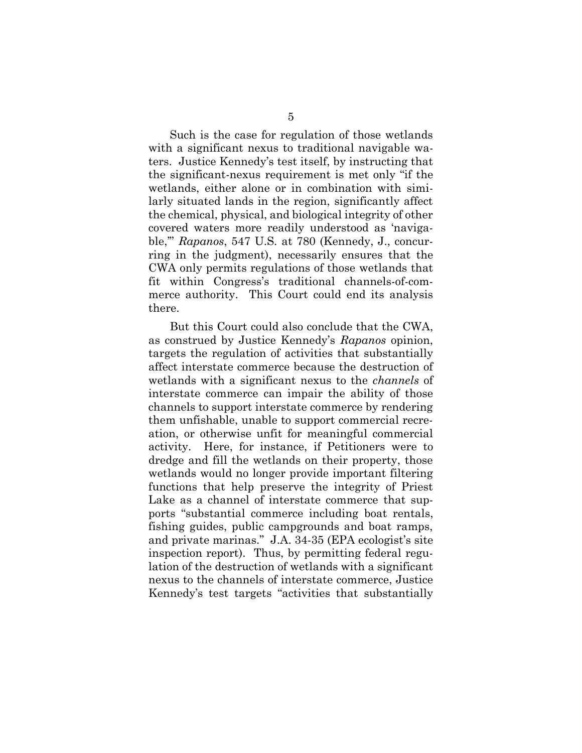Such is the case for regulation of those wetlands with a significant nexus to traditional navigable waters. Justice Kennedy's test itself, by instructing that the significant-nexus requirement is met only "if the wetlands, either alone or in combination with similarly situated lands in the region, significantly affect the chemical, physical, and biological integrity of other covered waters more readily understood as 'navigable,'" *Rapanos*, 547 U.S*.* at 780 (Kennedy, J., concurring in the judgment), necessarily ensures that the CWA only permits regulations of those wetlands that fit within Congress's traditional channels-of-commerce authority. This Court could end its analysis there.

But this Court could also conclude that the CWA, as construed by Justice Kennedy's *Rapanos* opinion, targets the regulation of activities that substantially affect interstate commerce because the destruction of wetlands with a significant nexus to the *channels* of interstate commerce can impair the ability of those channels to support interstate commerce by rendering them unfishable, unable to support commercial recreation, or otherwise unfit for meaningful commercial activity. Here, for instance, if Petitioners were to dredge and fill the wetlands on their property, those wetlands would no longer provide important filtering functions that help preserve the integrity of Priest Lake as a channel of interstate commerce that supports "substantial commerce including boat rentals, fishing guides, public campgrounds and boat ramps, and private marinas." J.A. 34-35 (EPA ecologist's site inspection report). Thus, by permitting federal regulation of the destruction of wetlands with a significant nexus to the channels of interstate commerce, Justice Kennedy's test targets "activities that substantially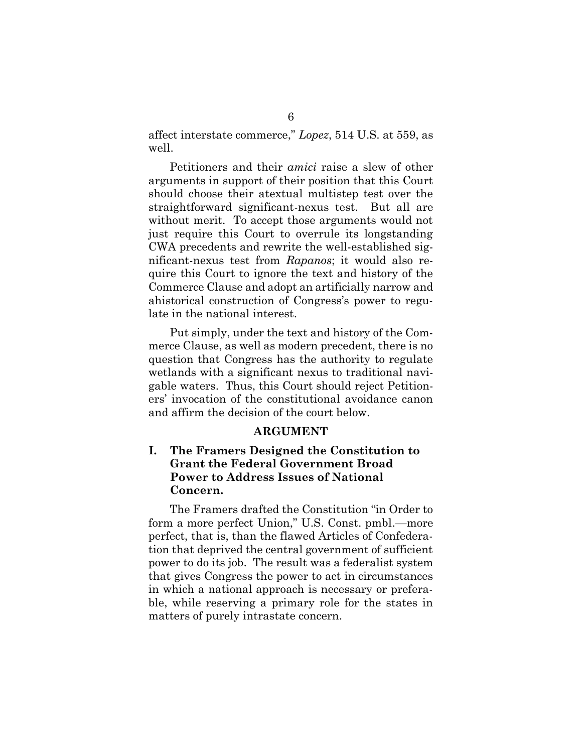affect interstate commerce," *Lopez*, 514 U.S. at 559, as well.

Petitioners and their *amici* raise a slew of other arguments in support of their position that this Court should choose their atextual multistep test over the straightforward significant-nexus test. But all are without merit. To accept those arguments would not just require this Court to overrule its longstanding CWA precedents and rewrite the well-established significant-nexus test from *Rapanos*; it would also require this Court to ignore the text and history of the Commerce Clause and adopt an artificially narrow and ahistorical construction of Congress's power to regulate in the national interest.

Put simply, under the text and history of the Commerce Clause, as well as modern precedent, there is no question that Congress has the authority to regulate wetlands with a significant nexus to traditional navigable waters. Thus, this Court should reject Petitioners' invocation of the constitutional avoidance canon and affirm the decision of the court below.

### **ARGUMENT**

### **I. The Framers Designed the Constitution to Grant the Federal Government Broad Power to Address Issues of National Concern.**

The Framers drafted the Constitution "in Order to form a more perfect Union," U.S. Const. pmbl.—more perfect, that is, than the flawed Articles of Confederation that deprived the central government of sufficient power to do its job. The result was a federalist system that gives Congress the power to act in circumstances in which a national approach is necessary or preferable, while reserving a primary role for the states in matters of purely intrastate concern.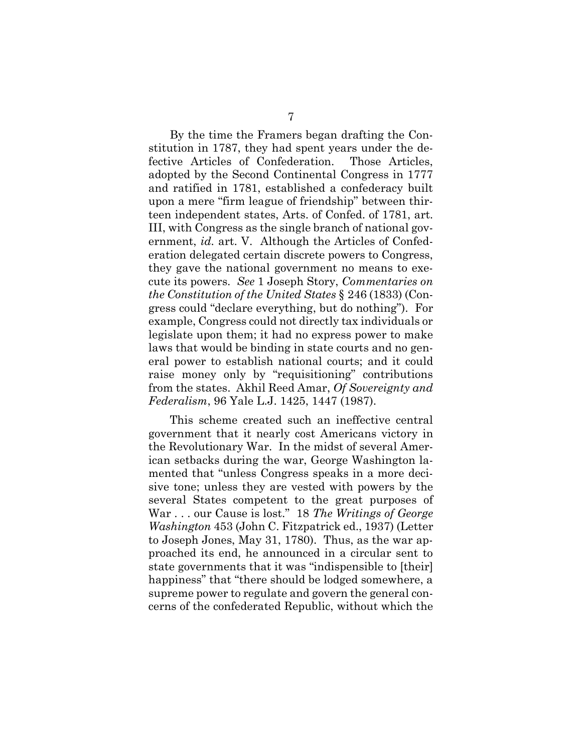By the time the Framers began drafting the Constitution in 1787, they had spent years under the defective Articles of Confederation. Those Articles, adopted by the Second Continental Congress in 1777 and ratified in 1781, established a confederacy built upon a mere "firm league of friendship" between thirteen independent states, Arts. of Confed. of 1781, art. III, with Congress as the single branch of national government, *id.* art. V. Although the Articles of Confederation delegated certain discrete powers to Congress, they gave the national government no means to execute its powers. *See* 1 Joseph Story, *Commentaries on the Constitution of the United States* § 246 (1833) (Congress could "declare everything, but do nothing"). For example, Congress could not directly tax individuals or legislate upon them; it had no express power to make laws that would be binding in state courts and no general power to establish national courts; and it could raise money only by "requisitioning" contributions from the states. Akhil Reed Amar, *Of Sovereignty and Federalism*, 96 Yale L.J. 1425, 1447 (1987).

This scheme created such an ineffective central government that it nearly cost Americans victory in the Revolutionary War. In the midst of several American setbacks during the war, George Washington lamented that "unless Congress speaks in a more decisive tone; unless they are vested with powers by the several States competent to the great purposes of War . . . our Cause is lost." 18 *The Writings of George Washington* 453 (John C. Fitzpatrick ed., 1937) (Letter to Joseph Jones, May 31, 1780). Thus, as the war approached its end, he announced in a circular sent to state governments that it was "indispensible to [their] happiness" that "there should be lodged somewhere, a supreme power to regulate and govern the general concerns of the confederated Republic, without which the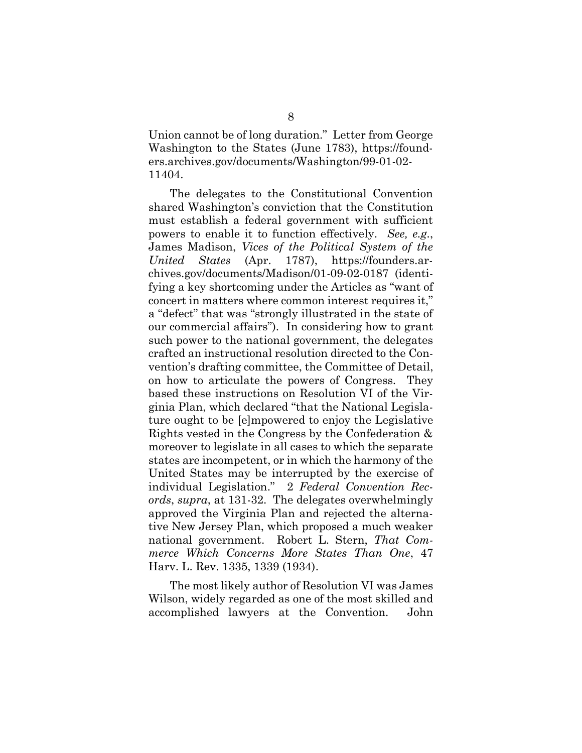Union cannot be of long duration." Letter from George Washington to the States (June 1783), https://founders.archives.gov/documents/Washington/99-01-02- 11404.

The delegates to the Constitutional Convention shared Washington's conviction that the Constitution must establish a federal government with sufficient powers to enable it to function effectively. *See, e.g.*, James Madison, *Vices of the Political System of the United States* (Apr. 1787), https://founders.archives.gov/documents/Madison/01-09-02-0187 (identifying a key shortcoming under the Articles as "want of concert in matters where common interest requires it," a "defect" that was "strongly illustrated in the state of our commercial affairs"). In considering how to grant such power to the national government, the delegates crafted an instructional resolution directed to the Convention's drafting committee, the Committee of Detail, on how to articulate the powers of Congress. They based these instructions on Resolution VI of the Virginia Plan, which declared "that the National Legislature ought to be [e]mpowered to enjoy the Legislative Rights vested in the Congress by the Confederation & moreover to legislate in all cases to which the separate states are incompetent, or in which the harmony of the United States may be interrupted by the exercise of individual Legislation." 2 *Federal Convention Records*, *supra*, at 131-32. The delegates overwhelmingly approved the Virginia Plan and rejected the alternative New Jersey Plan, which proposed a much weaker national government. Robert L. Stern, *That Commerce Which Concerns More States Than One*, 47 Harv. L. Rev. 1335, 1339 (1934).

The most likely author of Resolution VI was James Wilson, widely regarded as one of the most skilled and accomplished lawyers at the Convention. John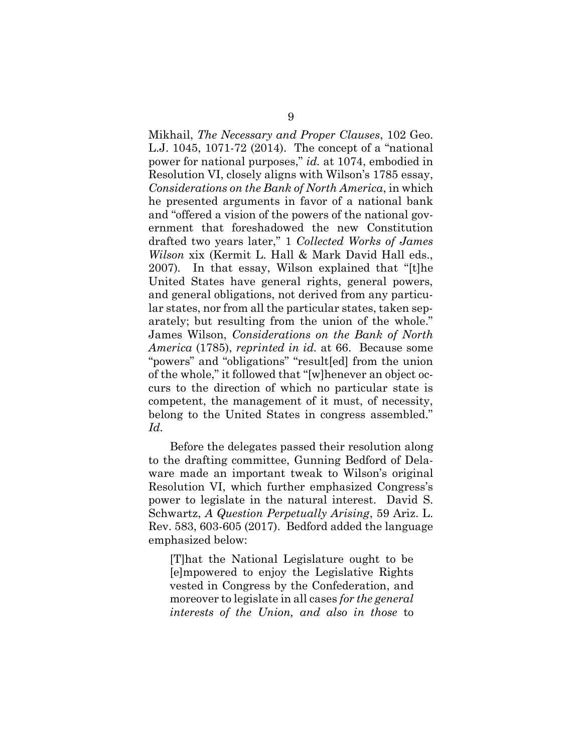Mikhail, *The Necessary and Proper Clauses*, 102 Geo. L.J. 1045, 1071-72 (2014). The concept of a "national power for national purposes," *id.* at 1074, embodied in Resolution VI, closely aligns with Wilson's 1785 essay, *Considerations on the Bank of North America*, in which he presented arguments in favor of a national bank and "offered a vision of the powers of the national government that foreshadowed the new Constitution drafted two years later," 1 *Collected Works of James Wilson* xix (Kermit L. Hall & Mark David Hall eds., 2007)*.* In that essay, Wilson explained that "[t]he United States have general rights, general powers, and general obligations, not derived from any particular states, nor from all the particular states, taken separately; but resulting from the union of the whole." James Wilson, *Considerations on the Bank of North America* (1785), *reprinted in id.* at 66. Because some "powers" and "obligations" "result[ed] from the union of the whole," it followed that "[w]henever an object occurs to the direction of which no particular state is competent, the management of it must, of necessity, belong to the United States in congress assembled." *Id.*

Before the delegates passed their resolution along to the drafting committee, Gunning Bedford of Delaware made an important tweak to Wilson's original Resolution VI, which further emphasized Congress's power to legislate in the natural interest. David S. Schwartz, *A Question Perpetually Arising*, 59 Ariz. L. Rev. 583, 603-605 (2017). Bedford added the language emphasized below:

[T]hat the National Legislature ought to be [e]mpowered to enjoy the Legislative Rights vested in Congress by the Confederation, and moreover to legislate in all cases *for the general interests of the Union, and also in those* to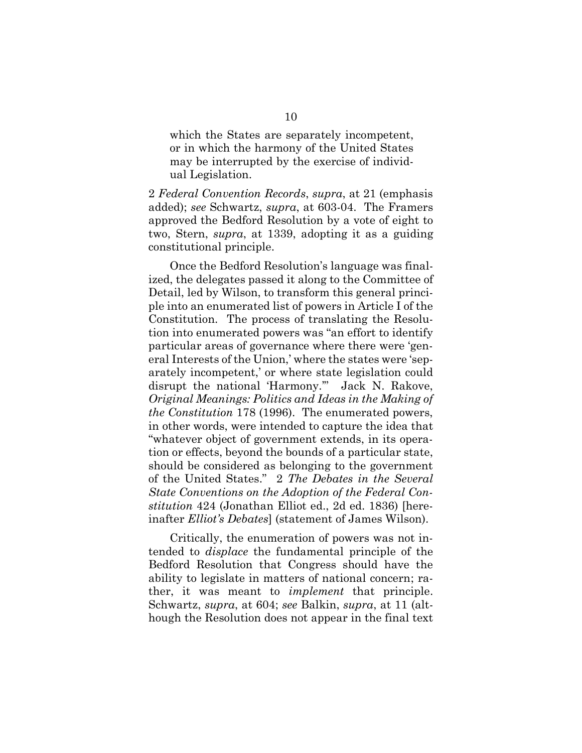which the States are separately incompetent, or in which the harmony of the United States may be interrupted by the exercise of individual Legislation.

2 *Federal Convention Records*, *supra*, at 21 (emphasis added); *see* Schwartz, *supra*, at 603-04. The Framers approved the Bedford Resolution by a vote of eight to two, Stern, *supra*, at 1339, adopting it as a guiding constitutional principle.

Once the Bedford Resolution's language was finalized, the delegates passed it along to the Committee of Detail, led by Wilson, to transform this general principle into an enumerated list of powers in Article I of the Constitution. The process of translating the Resolution into enumerated powers was "an effort to identify particular areas of governance where there were 'general Interests of the Union,' where the states were 'separately incompetent,' or where state legislation could disrupt the national 'Harmony.'" Jack N. Rakove, *Original Meanings: Politics and Ideas in the Making of the Constitution* 178 (1996). The enumerated powers, in other words, were intended to capture the idea that "whatever object of government extends, in its operation or effects, beyond the bounds of a particular state, should be considered as belonging to the government of the United States." 2 *The Debates in the Several State Conventions on the Adoption of the Federal Constitution* 424 (Jonathan Elliot ed., 2d ed. 1836) [hereinafter *Elliot's Debates*] (statement of James Wilson).

Critically, the enumeration of powers was not intended to *displace* the fundamental principle of the Bedford Resolution that Congress should have the ability to legislate in matters of national concern; rather, it was meant to *implement* that principle. Schwartz, *supra*, at 604; *see* Balkin, *supra*, at 11 (although the Resolution does not appear in the final text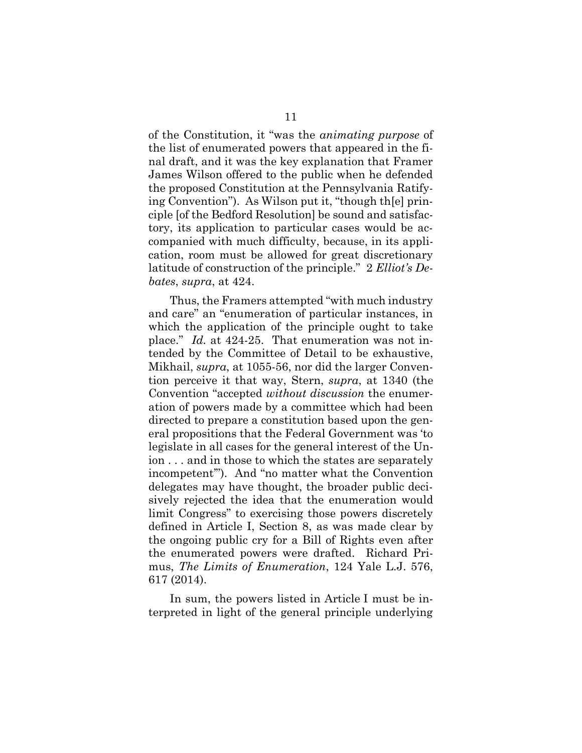of the Constitution, it "was the *animating purpose* of the list of enumerated powers that appeared in the final draft, and it was the key explanation that Framer James Wilson offered to the public when he defended the proposed Constitution at the Pennsylvania Ratifying Convention"). As Wilson put it, "though th[e] principle [of the Bedford Resolution] be sound and satisfactory, its application to particular cases would be accompanied with much difficulty, because, in its application, room must be allowed for great discretionary latitude of construction of the principle." 2 *Elliot's Debates*, *supra*, at 424.

Thus, the Framers attempted "with much industry and care" an "enumeration of particular instances, in which the application of the principle ought to take place." *Id.* at 424-25. That enumeration was not intended by the Committee of Detail to be exhaustive, Mikhail, *supra*, at 1055-56, nor did the larger Convention perceive it that way, Stern, *supra*, at 1340 (the Convention "accepted *without discussion* the enumeration of powers made by a committee which had been directed to prepare a constitution based upon the general propositions that the Federal Government was 'to legislate in all cases for the general interest of the Union . . . and in those to which the states are separately incompetent'"). And "no matter what the Convention delegates may have thought, the broader public decisively rejected the idea that the enumeration would limit Congress" to exercising those powers discretely defined in Article I, Section 8, as was made clear by the ongoing public cry for a Bill of Rights even after the enumerated powers were drafted. Richard Primus, *The Limits of Enumeration*, 124 Yale L.J. 576, 617 (2014).

In sum, the powers listed in Article I must be interpreted in light of the general principle underlying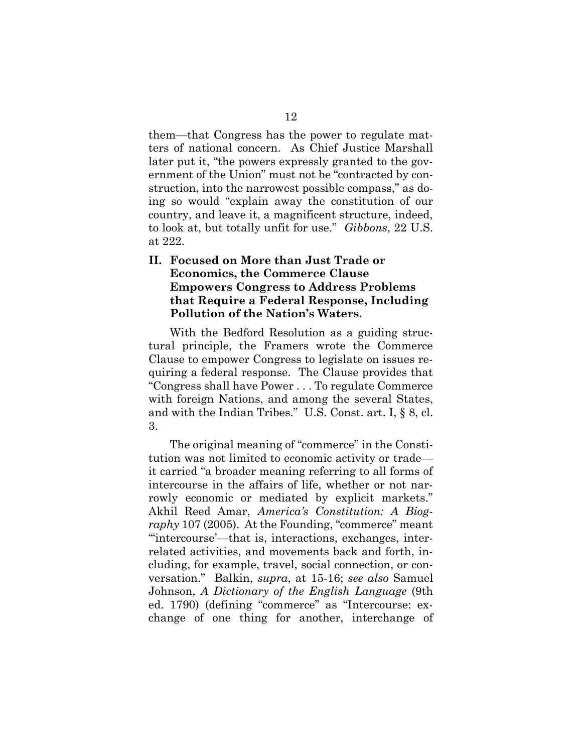them—that Congress has the power to regulate matters of national concern. As Chief Justice Marshall later put it, "the powers expressly granted to the government of the Union" must not be "contracted by construction, into the narrowest possible compass," as doing so would "explain away the constitution of our country, and leave it, a magnificent structure, indeed, to look at, but totally unfit for use." *Gibbons*, 22 U.S. at 222.

### **II. Focused on More than Just Trade or Economics, the Commerce Clause Empowers Congress to Address Problems that Require a Federal Response, Including Pollution of the Nation's Waters.**

With the Bedford Resolution as a guiding structural principle, the Framers wrote the Commerce Clause to empower Congress to legislate on issues requiring a federal response. The Clause provides that "Congress shall have Power . . . To regulate Commerce with foreign Nations, and among the several States, and with the Indian Tribes." U.S. Const. art. I, § 8, cl. 3.

The original meaning of "commerce" in the Constitution was not limited to economic activity or trade it carried "a broader meaning referring to all forms of intercourse in the affairs of life, whether or not narrowly economic or mediated by explicit markets." Akhil Reed Amar, *America's Constitution: A Biography* 107 (2005). At the Founding, "commerce" meant "'intercourse'—that is, interactions, exchanges, interrelated activities, and movements back and forth, including, for example, travel, social connection, or conversation." Balkin, *supra*, at 15-16; *see also* Samuel Johnson, *A Dictionary of the English Language* (9th ed. 1790) (defining "commerce" as "Intercourse: exchange of one thing for another, interchange of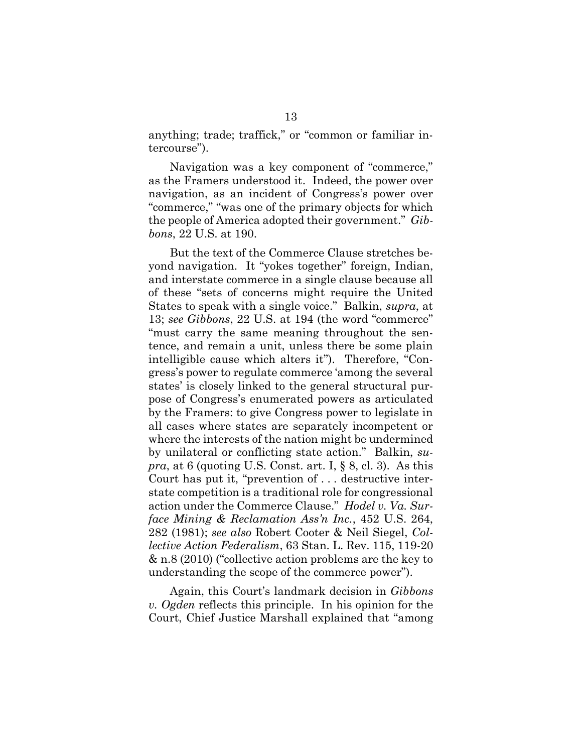anything; trade; traffick," or "common or familiar intercourse").

Navigation was a key component of "commerce," as the Framers understood it. Indeed, the power over navigation, as an incident of Congress's power over "commerce," "was one of the primary objects for which the people of America adopted their government." *Gibbons*, 22 U.S. at 190.

But the text of the Commerce Clause stretches beyond navigation. It "yokes together" foreign, Indian, and interstate commerce in a single clause because all of these "sets of concerns might require the United States to speak with a single voice." Balkin, *supra*, at 13; *see Gibbons*, 22 U.S. at 194 (the word "commerce" "must carry the same meaning throughout the sentence, and remain a unit, unless there be some plain intelligible cause which alters it"). Therefore, "Congress's power to regulate commerce 'among the several states' is closely linked to the general structural purpose of Congress's enumerated powers as articulated by the Framers: to give Congress power to legislate in all cases where states are separately incompetent or where the interests of the nation might be undermined by unilateral or conflicting state action." Balkin, *supra*, at 6 (quoting U.S. Const. art. I, § 8, cl. 3). As this Court has put it, "prevention of . . . destructive interstate competition is a traditional role for congressional action under the Commerce Clause." *Hodel v. Va. Surface Mining & Reclamation Ass'n Inc.*, 452 U.S. 264, 282 (1981); *see also* Robert Cooter & Neil Siegel, *Collective Action Federalism*, 63 Stan. L. Rev. 115, 119-20 & n.8 (2010) ("collective action problems are the key to understanding the scope of the commerce power").

Again, this Court's landmark decision in *Gibbons v. Ogden* reflects this principle. In his opinion for the Court, Chief Justice Marshall explained that "among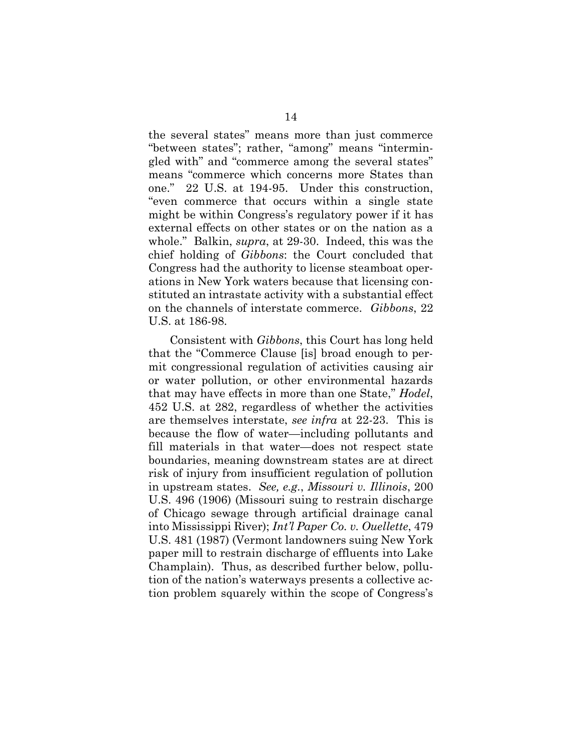the several states" means more than just commerce "between states"; rather, "among" means "intermingled with" and "commerce among the several states" means "commerce which concerns more States than one." 22 U.S. at 194-95. Under this construction, "even commerce that occurs within a single state might be within Congress's regulatory power if it has external effects on other states or on the nation as a whole." Balkin, *supra*, at 29-30. Indeed, this was the chief holding of *Gibbons*: the Court concluded that Congress had the authority to license steamboat operations in New York waters because that licensing constituted an intrastate activity with a substantial effect on the channels of interstate commerce. *Gibbons*, 22 U.S. at 186-98.

Consistent with *Gibbons*, this Court has long held that the "Commerce Clause [is] broad enough to permit congressional regulation of activities causing air or water pollution, or other environmental hazards that may have effects in more than one State," *Hodel*, 452 U.S. at 282, regardless of whether the activities are themselves interstate, *see infra* at 22-23. This is because the flow of water—including pollutants and fill materials in that water—does not respect state boundaries, meaning downstream states are at direct risk of injury from insufficient regulation of pollution in upstream states. *See, e.g.*, *Missouri v. Illinois*, 200 U.S. 496 (1906) (Missouri suing to restrain discharge of Chicago sewage through artificial drainage canal into Mississippi River); *Int'l Paper Co. v. Ouellette*, 479 U.S. 481 (1987) (Vermont landowners suing New York paper mill to restrain discharge of effluents into Lake Champlain). Thus, as described further below, pollution of the nation's waterways presents a collective action problem squarely within the scope of Congress's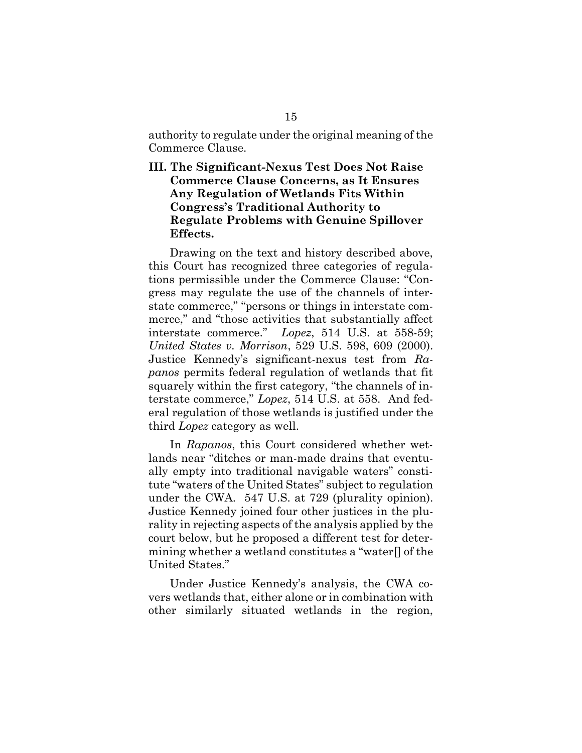authority to regulate under the original meaning of the Commerce Clause.

### **III. The Significant-Nexus Test Does Not Raise Commerce Clause Concerns, as It Ensures Any Regulation of Wetlands Fits Within Congress's Traditional Authority to Regulate Problems with Genuine Spillover Effects.**

Drawing on the text and history described above, this Court has recognized three categories of regulations permissible under the Commerce Clause: "Congress may regulate the use of the channels of interstate commerce," "persons or things in interstate commerce," and "those activities that substantially affect interstate commerce." *Lopez*, 514 U.S. at 558-59; *United States v. Morrison*, 529 U.S. 598, 609 (2000). Justice Kennedy's significant-nexus test from *Rapanos* permits federal regulation of wetlands that fit squarely within the first category, "the channels of interstate commerce," *Lopez*, 514 U.S. at 558. And federal regulation of those wetlands is justified under the third *Lopez* category as well.

In *Rapanos*, this Court considered whether wetlands near "ditches or man-made drains that eventually empty into traditional navigable waters" constitute "waters of the United States" subject to regulation under the CWA. 547 U.S. at 729 (plurality opinion). Justice Kennedy joined four other justices in the plurality in rejecting aspects of the analysis applied by the court below, but he proposed a different test for determining whether a wetland constitutes a "water[] of the United States."

Under Justice Kennedy's analysis, the CWA covers wetlands that, either alone or in combination with other similarly situated wetlands in the region,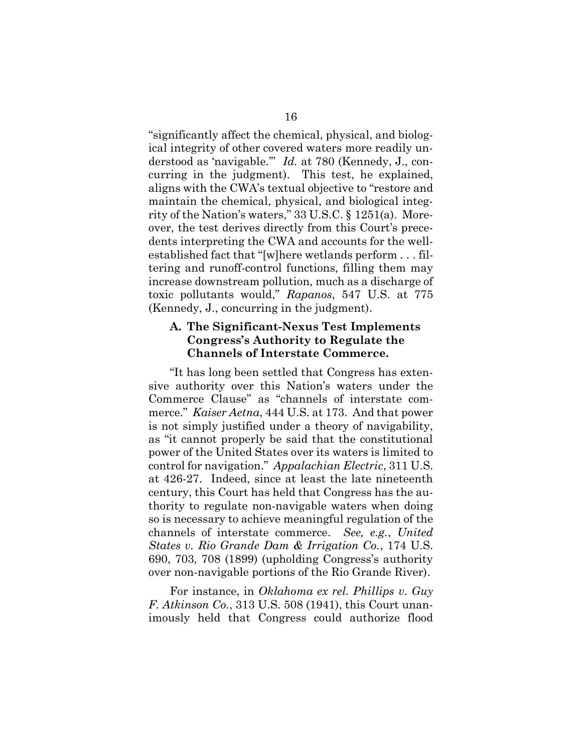"significantly affect the chemical, physical, and biological integrity of other covered waters more readily understood as 'navigable.'" *Id.* at 780 (Kennedy, J., concurring in the judgment). This test, he explained, aligns with the CWA's textual objective to "restore and maintain the chemical, physical, and biological integrity of the Nation's waters," 33 U.S.C. § 1251(a). Moreover, the test derives directly from this Court's precedents interpreting the CWA and accounts for the wellestablished fact that "[w]here wetlands perform . . . filtering and runoff-control functions, filling them may increase downstream pollution, much as a discharge of toxic pollutants would," *Rapanos*, 547 U.S. at 775 (Kennedy, J., concurring in the judgment).

#### **A. The Significant-Nexus Test Implements Congress's Authority to Regulate the Channels of Interstate Commerce.**

"It has long been settled that Congress has extensive authority over this Nation's waters under the Commerce Clause" as "channels of interstate commerce." *Kaiser Aetna*, 444 U.S. at 173. And that power is not simply justified under a theory of navigability, as "it cannot properly be said that the constitutional power of the United States over its waters is limited to control for navigation." *Appalachian Electric*, 311 U.S. at 426-27. Indeed, since at least the late nineteenth century, this Court has held that Congress has the authority to regulate non-navigable waters when doing so is necessary to achieve meaningful regulation of the channels of interstate commerce. *See, e.g.*, *United States v. Rio Grande Dam & Irrigation Co.*, 174 U.S. 690, 703, 708 (1899) (upholding Congress's authority over non-navigable portions of the Rio Grande River).

For instance, in *Oklahoma ex rel. Phillips v. Guy F. Atkinson Co.*, 313 U.S. 508 (1941), this Court unanimously held that Congress could authorize flood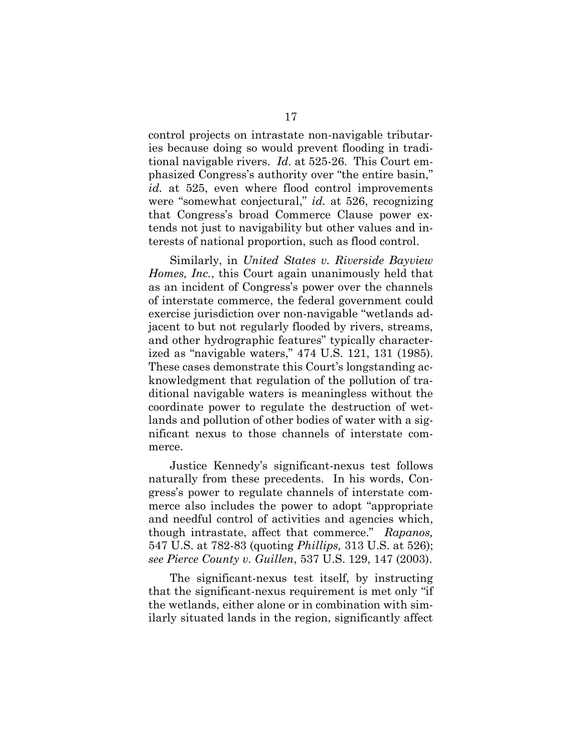control projects on intrastate non-navigable tributaries because doing so would prevent flooding in traditional navigable rivers. *Id.* at 525-26. This Court emphasized Congress's authority over "the entire basin," *id.* at 525, even where flood control improvements were "somewhat conjectural," *id.* at 526, recognizing that Congress's broad Commerce Clause power extends not just to navigability but other values and interests of national proportion, such as flood control.

Similarly, in *United States v. Riverside Bayview Homes, Inc.*, this Court again unanimously held that as an incident of Congress's power over the channels of interstate commerce, the federal government could exercise jurisdiction over non-navigable "wetlands adjacent to but not regularly flooded by rivers, streams, and other hydrographic features" typically characterized as "navigable waters," 474 U.S. 121, 131 (1985). These cases demonstrate this Court's longstanding acknowledgment that regulation of the pollution of traditional navigable waters is meaningless without the coordinate power to regulate the destruction of wetlands and pollution of other bodies of water with a significant nexus to those channels of interstate commerce.

Justice Kennedy's significant-nexus test follows naturally from these precedents. In his words, Congress's power to regulate channels of interstate commerce also includes the power to adopt "appropriate and needful control of activities and agencies which, though intrastate, affect that commerce." *Rapanos,*  547 U.S. at 782-83 (quoting *Phillips,* 313 U.S. at 526); *see Pierce County v. Guillen*, 537 U.S. 129, 147 (2003).

The significant-nexus test itself, by instructing that the significant-nexus requirement is met only "if the wetlands, either alone or in combination with similarly situated lands in the region, significantly affect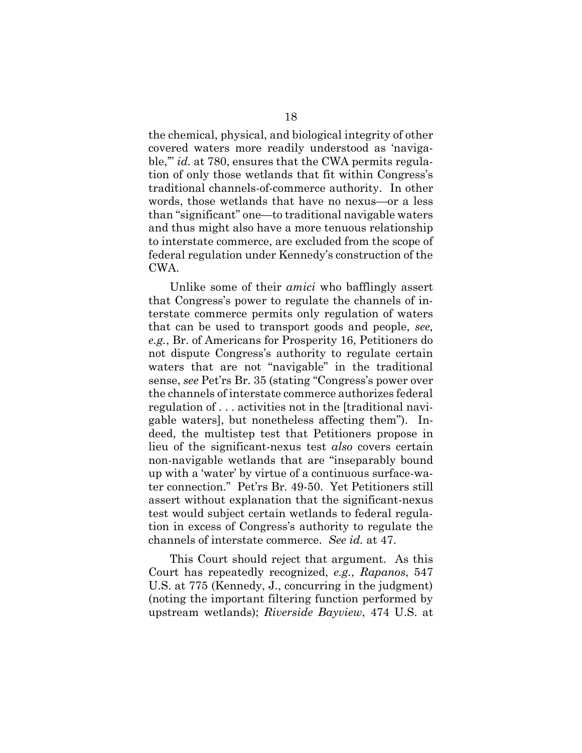the chemical, physical, and biological integrity of other covered waters more readily understood as 'navigable,'" *id.* at 780, ensures that the CWA permits regulation of only those wetlands that fit within Congress's traditional channels-of-commerce authority. In other words, those wetlands that have no nexus—or a less than "significant" one—to traditional navigable waters and thus might also have a more tenuous relationship to interstate commerce, are excluded from the scope of federal regulation under Kennedy's construction of the CWA.

Unlike some of their *amici* who bafflingly assert that Congress's power to regulate the channels of interstate commerce permits only regulation of waters that can be used to transport goods and people, *see, e.g.*, Br. of Americans for Prosperity 16, Petitioners do not dispute Congress's authority to regulate certain waters that are not "navigable" in the traditional sense, *see* Pet'rs Br. 35 (stating "Congress's power over the channels of interstate commerce authorizes federal regulation of . . . activities not in the [traditional navigable waters], but nonetheless affecting them"). Indeed, the multistep test that Petitioners propose in lieu of the significant-nexus test *also* covers certain non-navigable wetlands that are "inseparably bound up with a 'water' by virtue of a continuous surface-water connection." Pet'rs Br. 49-50. Yet Petitioners still assert without explanation that the significant-nexus test would subject certain wetlands to federal regulation in excess of Congress's authority to regulate the channels of interstate commerce. *See id.* at 47.

This Court should reject that argument. As this Court has repeatedly recognized, *e.g.*, *Rapanos*, 547 U.S. at 775 (Kennedy, J., concurring in the judgment) (noting the important filtering function performed by upstream wetlands); *Riverside Bayview*, 474 U.S. at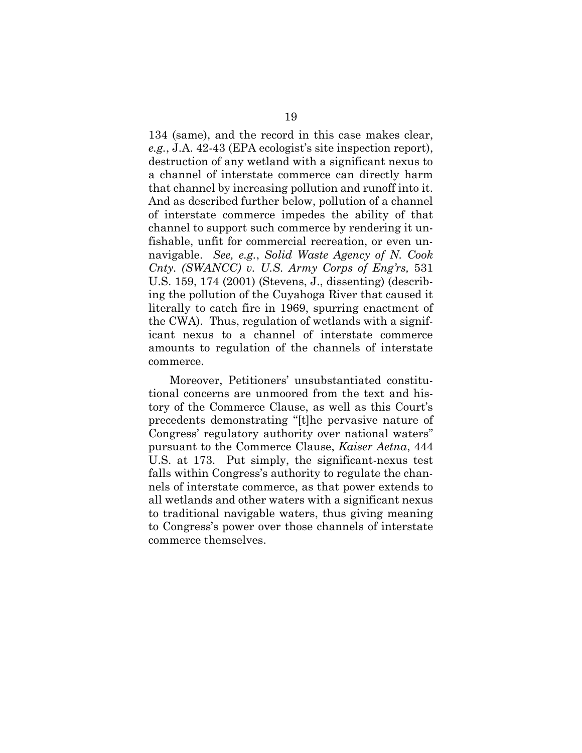134 (same), and the record in this case makes clear, *e.g.*, J.A. 42-43 (EPA ecologist's site inspection report), destruction of any wetland with a significant nexus to a channel of interstate commerce can directly harm that channel by increasing pollution and runoff into it. And as described further below, pollution of a channel of interstate commerce impedes the ability of that channel to support such commerce by rendering it unfishable, unfit for commercial recreation, or even unnavigable. *See, e.g.*, *Solid Waste Agency of N. Cook Cnty. (SWANCC) v. U.S. Army Corps of Eng'rs,* 531 U.S. 159, 174 (2001) (Stevens, J., dissenting) (describing the pollution of the Cuyahoga River that caused it literally to catch fire in 1969, spurring enactment of the CWA). Thus, regulation of wetlands with a significant nexus to a channel of interstate commerce amounts to regulation of the channels of interstate commerce.

Moreover, Petitioners' unsubstantiated constitutional concerns are unmoored from the text and history of the Commerce Clause, as well as this Court's precedents demonstrating "[t]he pervasive nature of Congress' regulatory authority over national waters" pursuant to the Commerce Clause, *Kaiser Aetna*, 444 U.S. at 173. Put simply, the significant-nexus test falls within Congress's authority to regulate the channels of interstate commerce, as that power extends to all wetlands and other waters with a significant nexus to traditional navigable waters, thus giving meaning to Congress's power over those channels of interstate commerce themselves.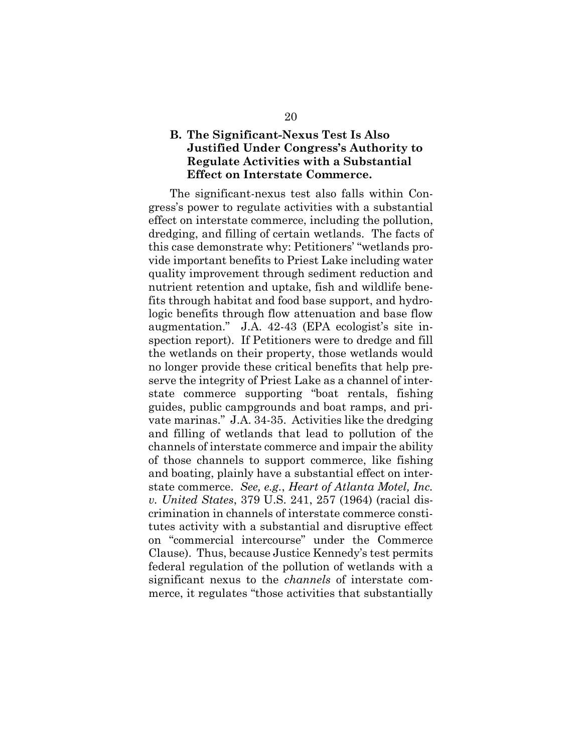### **B. The Significant-Nexus Test Is Also Justified Under Congress's Authority to Regulate Activities with a Substantial Effect on Interstate Commerce.**

The significant-nexus test also falls within Congress's power to regulate activities with a substantial effect on interstate commerce, including the pollution, dredging, and filling of certain wetlands. The facts of this case demonstrate why: Petitioners' "wetlands provide important benefits to Priest Lake including water quality improvement through sediment reduction and nutrient retention and uptake, fish and wildlife benefits through habitat and food base support, and hydrologic benefits through flow attenuation and base flow augmentation." J.A. 42-43 (EPA ecologist's site inspection report). If Petitioners were to dredge and fill the wetlands on their property, those wetlands would no longer provide these critical benefits that help preserve the integrity of Priest Lake as a channel of interstate commerce supporting "boat rentals, fishing guides, public campgrounds and boat ramps, and private marinas." J.A. 34-35. Activities like the dredging and filling of wetlands that lead to pollution of the channels of interstate commerce and impair the ability of those channels to support commerce, like fishing and boating, plainly have a substantial effect on interstate commerce. *See, e.g.*, *Heart of Atlanta Motel, Inc. v. United States*, 379 U.S. 241, 257 (1964) (racial discrimination in channels of interstate commerce constitutes activity with a substantial and disruptive effect on "commercial intercourse" under the Commerce Clause). Thus, because Justice Kennedy's test permits federal regulation of the pollution of wetlands with a significant nexus to the *channels* of interstate commerce, it regulates "those activities that substantially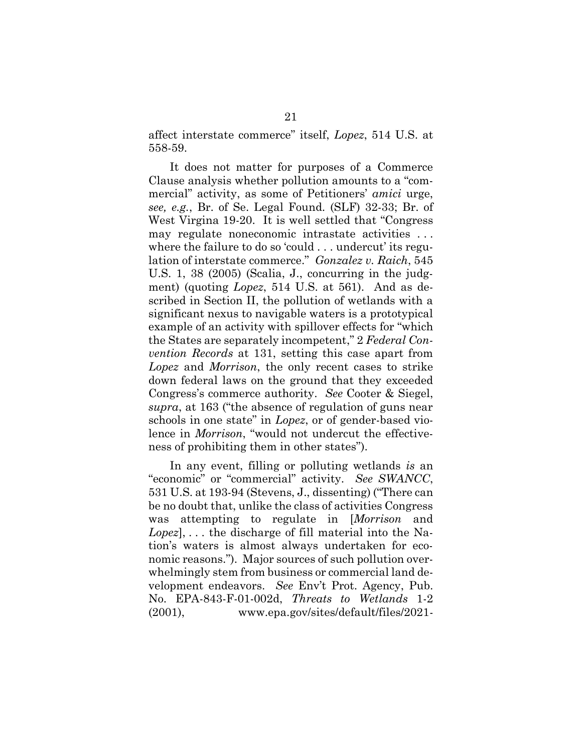affect interstate commerce" itself, *Lopez*, 514 U.S. at 558-59.

It does not matter for purposes of a Commerce Clause analysis whether pollution amounts to a "commercial" activity, as some of Petitioners' *amici* urge, *see, e.g.*, Br. of Se. Legal Found. (SLF) 32-33; Br. of West Virgina 19-20. It is well settled that "Congress may regulate noneconomic intrastate activities . . . where the failure to do so 'could . . . undercut' its regulation of interstate commerce." *Gonzalez v. Raich*, 545 U.S. 1, 38 (2005) (Scalia, J., concurring in the judgment) (quoting *Lopez*, 514 U.S. at 561). And as described in Section II, the pollution of wetlands with a significant nexus to navigable waters is a prototypical example of an activity with spillover effects for "which the States are separately incompetent," 2 *Federal Convention Records* at 131, setting this case apart from *Lopez* and *Morrison*, the only recent cases to strike down federal laws on the ground that they exceeded Congress's commerce authority. *See* Cooter & Siegel, *supra*, at 163 ("the absence of regulation of guns near schools in one state" in *Lopez*, or of gender-based violence in *Morrison*, "would not undercut the effectiveness of prohibiting them in other states").

In any event, filling or polluting wetlands *is* an "economic" or "commercial" activity. *See SWANCC*, 531 U.S. at 193-94 (Stevens, J., dissenting) ("There can be no doubt that, unlike the class of activities Congress was attempting to regulate in [*Morrison* and *Lopez*], . . . the discharge of fill material into the Nation's waters is almost always undertaken for economic reasons."). Major sources of such pollution overwhelmingly stem from business or commercial land development endeavors. *See* Env't Prot. Agency, Pub. No. EPA-843-F-01-002d, *Threats to Wetlands* 1-2 (2001), www.epa.gov/sites/default/files/2021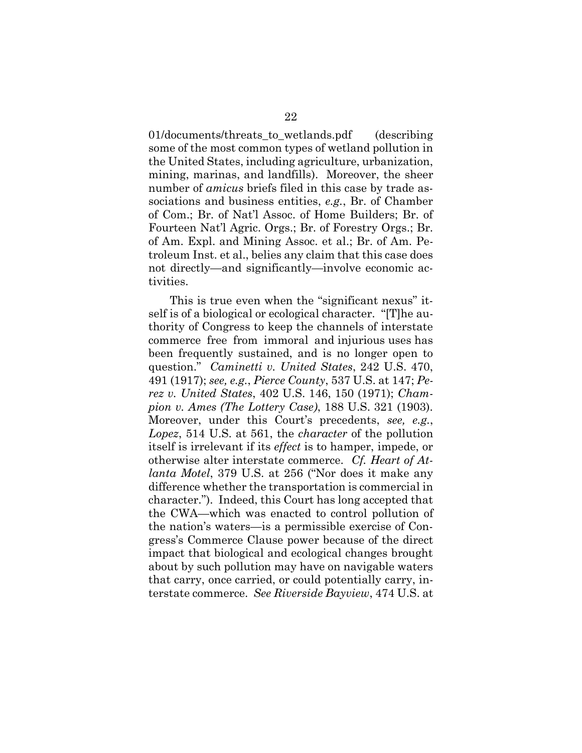01/documents/threats\_to\_wetlands.pdf (describing some of the most common types of wetland pollution in the United States, including agriculture, urbanization, mining, marinas, and landfills). Moreover, the sheer number of *amicus* briefs filed in this case by trade associations and business entities, *e.g.*, Br. of Chamber of Com.; Br. of Nat'l Assoc. of Home Builders; Br. of Fourteen Nat'l Agric. Orgs.; Br. of Forestry Orgs.; Br. of Am. Expl. and Mining Assoc. et al.; Br. of Am. Petroleum Inst. et al., belies any claim that this case does not directly—and significantly—involve economic activities.

This is true even when the "significant nexus" itself is of a biological or ecological character. "[T]he authority of Congress to keep the channels of interstate commerce free from immoral and injurious uses has been frequently sustained, and is no longer open to question." *Caminetti v. United States*, 242 U.S. 470, 491 (1917); *see, e.g.*, *Pierce County*, 537 U.S. at 147; *Perez v. United States*, 402 U.S. 146, 150 (1971); *Champion v. Ames (The Lottery Case)*, 188 U.S. 321 (1903). Moreover, under this Court's precedents, *see, e.g.*, *Lopez*, 514 U.S. at 561, the *character* of the pollution itself is irrelevant if its *effect* is to hamper, impede, or otherwise alter interstate commerce. *Cf. Heart of Atlanta Motel*, 379 U.S. at 256 ("Nor does it make any difference whether the transportation is commercial in character."). Indeed, this Court has long accepted that the CWA—which was enacted to control pollution of the nation's waters—is a permissible exercise of Congress's Commerce Clause power because of the direct impact that biological and ecological changes brought about by such pollution may have on navigable waters that carry, once carried, or could potentially carry, interstate commerce. *See Riverside Bayview*, 474 U.S. at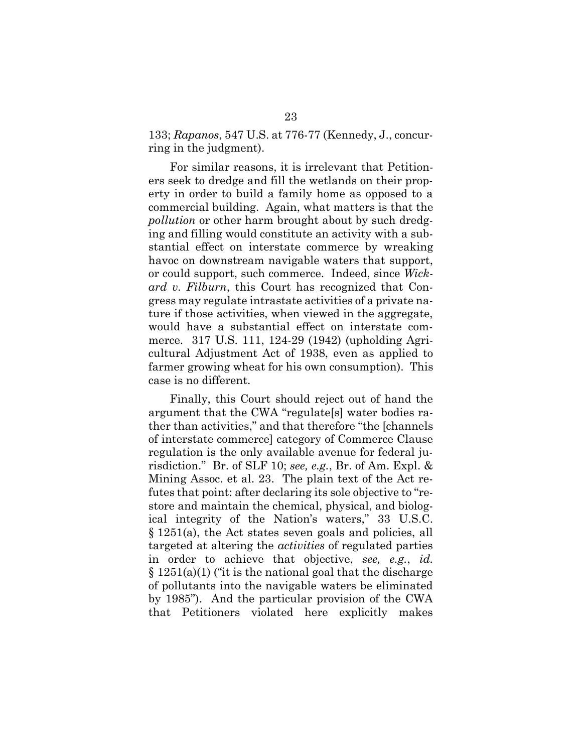133; *Rapanos*, 547 U.S. at 776-77 (Kennedy, J., concurring in the judgment).

For similar reasons, it is irrelevant that Petitioners seek to dredge and fill the wetlands on their property in order to build a family home as opposed to a commercial building. Again, what matters is that the *pollution* or other harm brought about by such dredging and filling would constitute an activity with a substantial effect on interstate commerce by wreaking havoc on downstream navigable waters that support, or could support, such commerce. Indeed, since *Wickard v. Filburn*, this Court has recognized that Congress may regulate intrastate activities of a private nature if those activities, when viewed in the aggregate, would have a substantial effect on interstate commerce. 317 U.S. 111, 124-29 (1942) (upholding Agricultural Adjustment Act of 1938, even as applied to farmer growing wheat for his own consumption). This case is no different.

Finally, this Court should reject out of hand the argument that the CWA "regulate[s] water bodies rather than activities," and that therefore "the [channels of interstate commerce] category of Commerce Clause regulation is the only available avenue for federal jurisdiction." Br. of SLF 10; *see, e.g.*, Br. of Am. Expl. & Mining Assoc. et al. 23. The plain text of the Act refutes that point: after declaring its sole objective to "restore and maintain the chemical, physical, and biological integrity of the Nation's waters," 33 U.S.C.  $\S 1251(a)$ , the Act states seven goals and policies, all targeted at altering the *activities* of regulated parties in order to achieve that objective, *see, e.g.*, *id.*   $\S 1251(a)(1)$  ("it is the national goal that the discharge of pollutants into the navigable waters be eliminated by 1985"). And the particular provision of the CWA that Petitioners violated here explicitly makes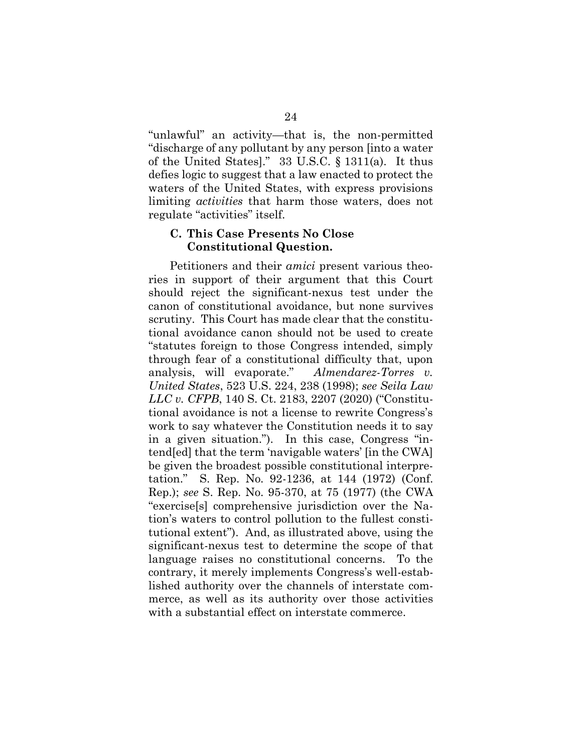"unlawful" an activity—that is, the non-permitted "discharge of any pollutant by any person [into a water of the United States]." 33 U.S.C. § 1311(a). It thus defies logic to suggest that a law enacted to protect the waters of the United States, with express provisions limiting *activities* that harm those waters, does not regulate "activities" itself.

#### **C. This Case Presents No Close Constitutional Question.**

Petitioners and their *amici* present various theories in support of their argument that this Court should reject the significant-nexus test under the canon of constitutional avoidance, but none survives scrutiny. This Court has made clear that the constitutional avoidance canon should not be used to create "statutes foreign to those Congress intended, simply through fear of a constitutional difficulty that, upon analysis, will evaporate." *Almendarez-Torres v. United States*, 523 U.S. 224, 238 (1998); *see Seila Law LLC v. CFPB*, 140 S. Ct. 2183, 2207 (2020) ("Constitutional avoidance is not a license to rewrite Congress's work to say whatever the Constitution needs it to say in a given situation."). In this case, Congress "intend[ed] that the term 'navigable waters' [in the CWA] be given the broadest possible constitutional interpretation." S. Rep. No. 92-1236, at 144 (1972) (Conf. Rep.); *see* S. Rep. No. 95-370, at 75 (1977) (the CWA "exercise[s] comprehensive jurisdiction over the Nation's waters to control pollution to the fullest constitutional extent"). And, as illustrated above, using the significant-nexus test to determine the scope of that language raises no constitutional concerns. To the contrary, it merely implements Congress's well-established authority over the channels of interstate commerce, as well as its authority over those activities with a substantial effect on interstate commerce.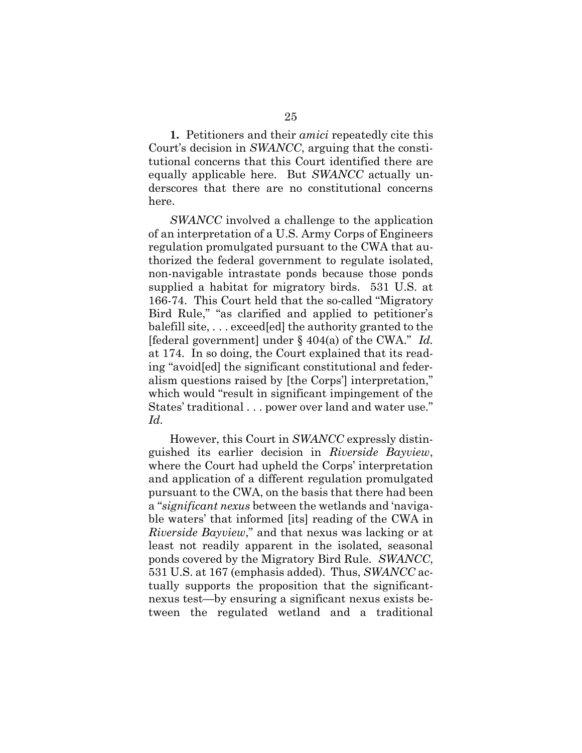**1.** Petitioners and their *amici* repeatedly cite this Court's decision in *SWANCC*, arguing that the constitutional concerns that this Court identified there are equally applicable here. But *SWANCC* actually underscores that there are no constitutional concerns here.

*SWANCC* involved a challenge to the application of an interpretation of a U.S. Army Corps of Engineers regulation promulgated pursuant to the CWA that authorized the federal government to regulate isolated, non-navigable intrastate ponds because those ponds supplied a habitat for migratory birds. 531 U.S. at 166-74. This Court held that the so-called "Migratory Bird Rule," "as clarified and applied to petitioner's balefill site, . . . exceed[ed] the authority granted to the [federal government] under § 404(a) of the CWA." *Id.*  at 174. In so doing, the Court explained that its reading "avoid[ed] the significant constitutional and federalism questions raised by [the Corps'] interpretation," which would "result in significant impingement of the States' traditional . . . power over land and water use." *Id.*

However, this Court in *SWANCC* expressly distinguished its earlier decision in *Riverside Bayview*, where the Court had upheld the Corps' interpretation and application of a different regulation promulgated pursuant to the CWA, on the basis that there had been a "*significant nexus* between the wetlands and 'navigable waters' that informed [its] reading of the CWA in *Riverside Bayview*," and that nexus was lacking or at least not readily apparent in the isolated, seasonal ponds covered by the Migratory Bird Rule. *SWANCC*, 531 U.S. at 167 (emphasis added). Thus, *SWANCC* actually supports the proposition that the significantnexus test—by ensuring a significant nexus exists between the regulated wetland and a traditional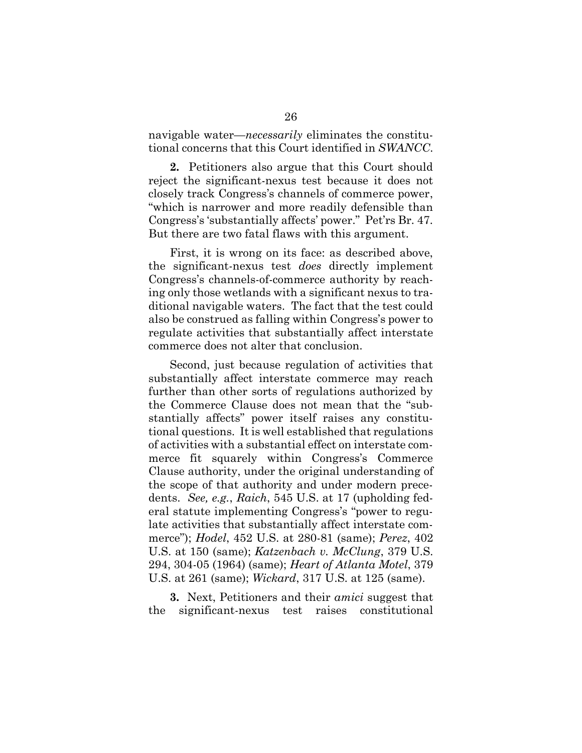navigable water—*necessarily* eliminates the constitutional concerns that this Court identified in *SWANCC*.

**2.** Petitioners also argue that this Court should reject the significant-nexus test because it does not closely track Congress's channels of commerce power, "which is narrower and more readily defensible than Congress's 'substantially affects' power." Pet'rs Br. 47. But there are two fatal flaws with this argument.

First, it is wrong on its face: as described above, the significant-nexus test *does* directly implement Congress's channels-of-commerce authority by reaching only those wetlands with a significant nexus to traditional navigable waters. The fact that the test could also be construed as falling within Congress's power to regulate activities that substantially affect interstate commerce does not alter that conclusion.

Second, just because regulation of activities that substantially affect interstate commerce may reach further than other sorts of regulations authorized by the Commerce Clause does not mean that the "substantially affects" power itself raises any constitutional questions. It is well established that regulations of activities with a substantial effect on interstate commerce fit squarely within Congress's Commerce Clause authority, under the original understanding of the scope of that authority and under modern precedents. *See, e.g.*, *Raich*, 545 U.S. at 17 (upholding federal statute implementing Congress's "power to regulate activities that substantially affect interstate commerce"); *Hodel*, 452 U.S. at 280-81 (same); *Perez*, 402 U.S. at 150 (same); *Katzenbach v. McClung*, 379 U.S. 294, 304-05 (1964) (same); *Heart of Atlanta Motel*, 379 U.S. at 261 (same); *Wickard*, 317 U.S. at 125 (same).

**3.** Next, Petitioners and their *amici* suggest that the significant-nexus test raises constitutional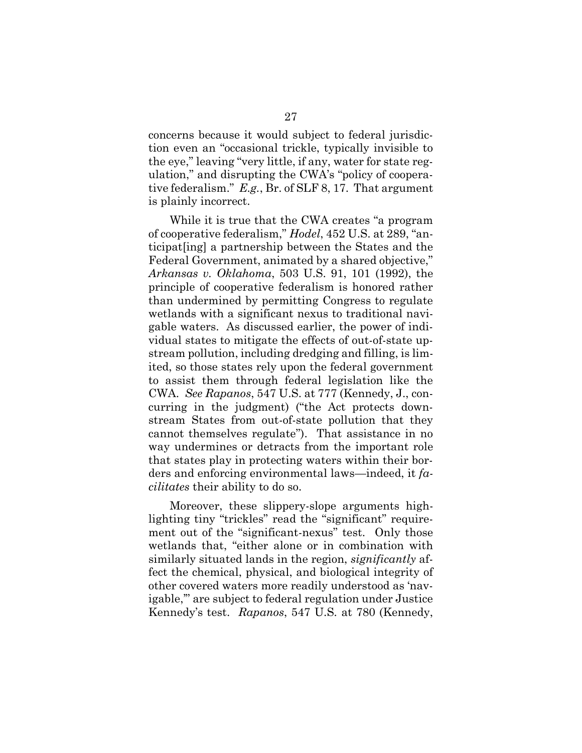concerns because it would subject to federal jurisdiction even an "occasional trickle, typically invisible to the eye," leaving "very little, if any, water for state regulation," and disrupting the CWA's "policy of cooperative federalism." *E.g.*, Br. of SLF 8, 17. That argument is plainly incorrect.

While it is true that the CWA creates "a program of cooperative federalism," *Hodel*, 452 U.S. at 289, "anticipat[ing] a partnership between the States and the Federal Government, animated by a shared objective," *Arkansas v. Oklahoma*, 503 U.S. 91, 101 (1992), the principle of cooperative federalism is honored rather than undermined by permitting Congress to regulate wetlands with a significant nexus to traditional navigable waters. As discussed earlier, the power of individual states to mitigate the effects of out-of-state upstream pollution, including dredging and filling, is limited, so those states rely upon the federal government to assist them through federal legislation like the CWA. *See Rapanos*, 547 U.S. at 777 (Kennedy, J., concurring in the judgment) ("the Act protects downstream States from out-of-state pollution that they cannot themselves regulate"). That assistance in no way undermines or detracts from the important role that states play in protecting waters within their borders and enforcing environmental laws—indeed, it *facilitates* their ability to do so.

Moreover, these slippery-slope arguments highlighting tiny "trickles" read the "significant" requirement out of the "significant-nexus" test. Only those wetlands that, "either alone or in combination with similarly situated lands in the region, *significantly* affect the chemical, physical, and biological integrity of other covered waters more readily understood as 'navigable,'" are subject to federal regulation under Justice Kennedy's test. *Rapanos*, 547 U.S*.* at 780 (Kennedy,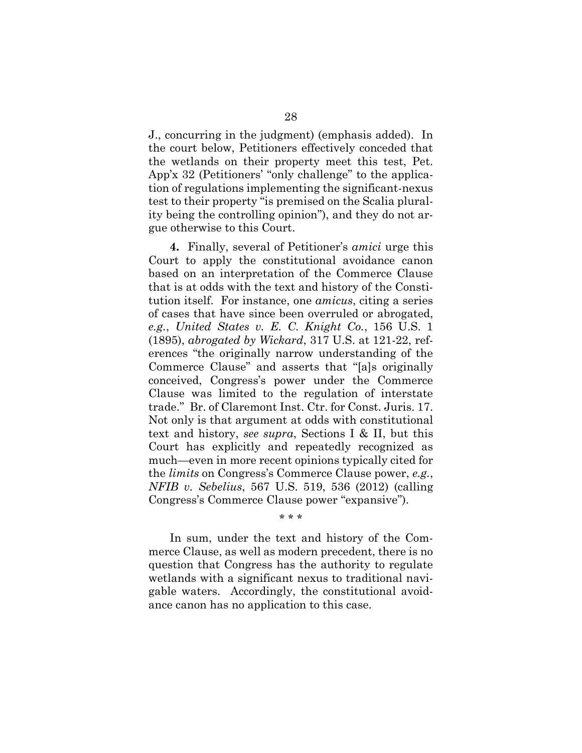J., concurring in the judgment) (emphasis added). In the court below, Petitioners effectively conceded that the wetlands on their property meet this test, Pet. App'x 32 (Petitioners' "only challenge" to the application of regulations implementing the significant-nexus test to their property "is premised on the Scalia plurality being the controlling opinion"), and they do not argue otherwise to this Court.

**4.** Finally, several of Petitioner's *amici* urge this Court to apply the constitutional avoidance canon based on an interpretation of the Commerce Clause that is at odds with the text and history of the Constitution itself. For instance, one *amicus*, citing a series of cases that have since been overruled or abrogated, *e.g.*, *United States v. E. C. Knight Co.*, 156 U.S. 1 (1895), *abrogated by Wickard*, 317 U.S. at 121-22, references "the originally narrow understanding of the Commerce Clause" and asserts that "[a]s originally conceived, Congress's power under the Commerce Clause was limited to the regulation of interstate trade." Br. of Claremont Inst. Ctr. for Const. Juris. 17. Not only is that argument at odds with constitutional text and history, *see supra*, Sections I & II, but this Court has explicitly and repeatedly recognized as much—even in more recent opinions typically cited for the *limits* on Congress's Commerce Clause power, *e.g.*, *NFIB v. Sebelius*, 567 U.S. 519, 536 (2012) (calling Congress's Commerce Clause power "expansive").

\* \* \*

In sum, under the text and history of the Commerce Clause, as well as modern precedent, there is no question that Congress has the authority to regulate wetlands with a significant nexus to traditional navigable waters. Accordingly, the constitutional avoidance canon has no application to this case.